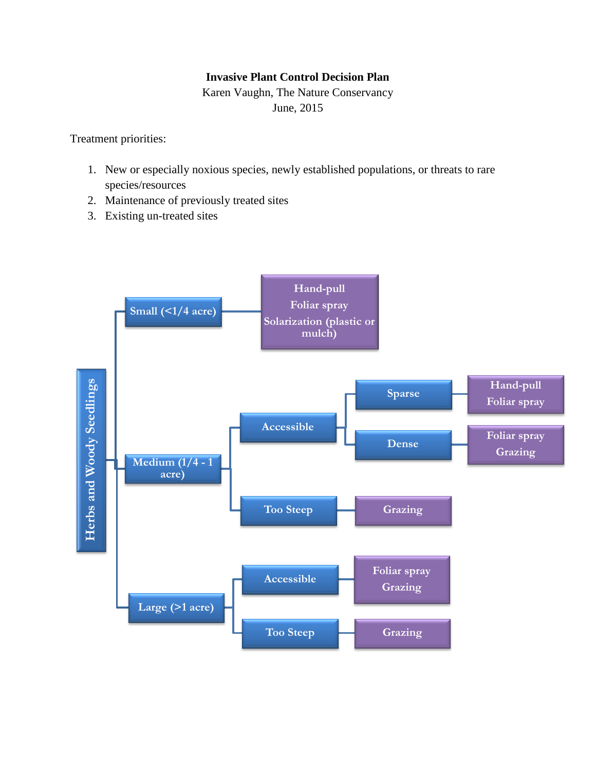## **Invasive Plant Control Decision Plan**

Karen Vaughn, The Nature Conservancy June, 2015

Treatment priorities:

- 1. New or especially noxious species, newly established populations, or threats to rare species/resources
- 2. Maintenance of previously treated sites
- 3. Existing un-treated sites

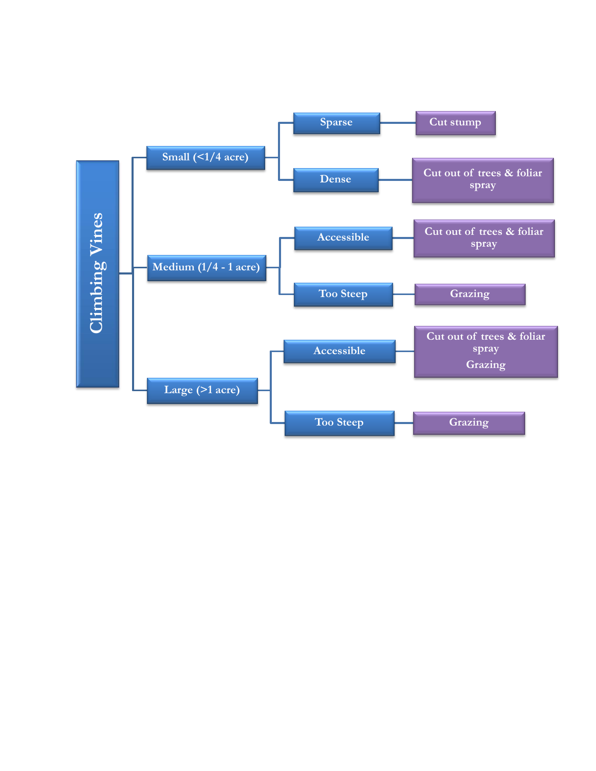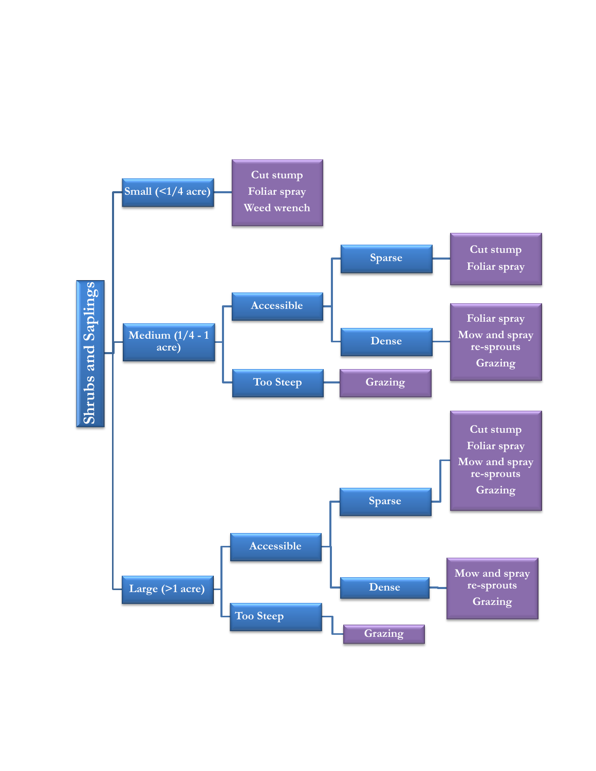